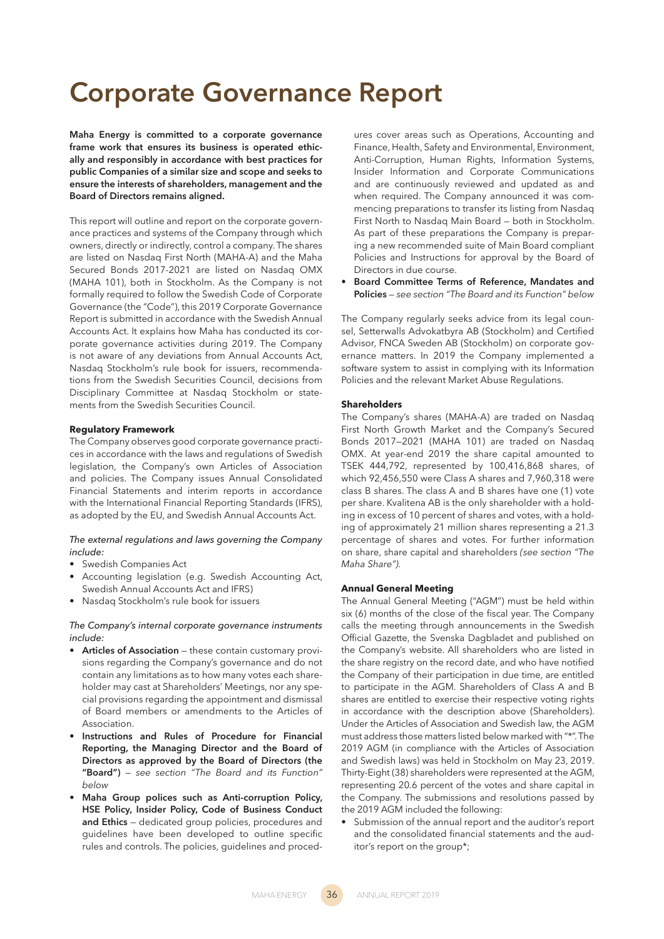# **Corporate Governance Report**

**Maha Energy is committed to a corporate governance frame work that ensures its business is operated ethically and responsibly in accordance with best practices for public Companies of a similar size and scope and seeks to ensure the interests of shareholders, management and the Board of Directors remains aligned.** 

This report will outline and report on the corporate governance practices and systems of the Company through which owners, directly or indirectly, control a company. The shares are listed on Nasdaq First North (MAHA-A) and the Maha Secured Bonds 2017-2021 are listed on Nasdaq OMX (MAHA 101), both in Stockholm. As the Company is not formally required to follow the Swedish Code of Corporate Governance (the "Code"), this 2019 Corporate Governance Report is submitted in accordance with the Swedish Annual Accounts Act. It explains how Maha has conducted its corporate governance activities during 2019. The Company is not aware of any deviations from Annual Accounts Act, Nasdaq Stockholm's rule book for issuers, recommendations from the Swedish Securities Council, decisions from Disciplinary Committee at Nasdaq Stockholm or statements from the Swedish Securities Council.

# **Regulatory Framework**

The Company observes good corporate governance practices in accordance with the laws and regulations of Swedish legislation, the Company's own Articles of Association and policies. The Company issues Annual Consolidated Financial Statements and interim reports in accordance with the International Financial Reporting Standards (IFRS), as adopted by the EU, and Swedish Annual Accounts Act.

# *The external regulations and laws governing the Company include:*

- Swedish Companies Act
- Accounting legislation (e.g. Swedish Accounting Act, Swedish Annual Accounts Act and IFRS)
- Nasdaq Stockholm's rule book for issuers

### *The Company's internal corporate governance instruments include:*

- Articles of Association these contain customary provisions regarding the Company's governance and do not contain any limitations as to how many votes each shareholder may cast at Shareholders' Meetings, nor any special provisions regarding the appointment and dismissal of Board members or amendments to the Articles of Association.
- **Instructions and Rules of Procedure for Financial Reporting, the Managing Director and the Board of Directors as approved by the Board of Directors (the "Board")** — *see section "The Board and its Function" below*
- **Maha Group polices such as Anti-corruption Policy, HSE Policy, Insider Policy, Code of Business Conduct and Ethics** — dedicated group policies, procedures and guidelines have been developed to outline specific rules and controls. The policies, guidelines and proced-

ures cover areas such as Operations, Accounting and Finance, Health, Safety and Environmental, Environment, Anti-Corruption, Human Rights, Information Systems, Insider Information and Corporate Communications and are continuously reviewed and updated as and when required. The Company announced it was commencing preparations to transfer its listing from Nasdaq First North to Nasdaq Main Board — both in Stockholm. As part of these preparations the Company is preparing a new recommended suite of Main Board compliant Policies and Instructions for approval by the Board of Directors in due course.

• **Board Committee Terms of Reference, Mandates and Policies** — *see section "The Board and its Function" below*

The Company regularly seeks advice from its legal counsel, Setterwalls Advokatbyra AB (Stockholm) and Certified Advisor, FNCA Sweden AB (Stockholm) on corporate governance matters. In 2019 the Company implemented a software system to assist in complying with its Information Policies and the relevant Market Abuse Regulations.

# **Shareholders**

The Company's shares (MAHA-A) are traded on Nasdaq First North Growth Market and the Company's Secured Bonds 2017—2021 (MAHA 101) are traded on Nasdaq OMX. At year-end 2019 the share capital amounted to TSEK 444,792, represented by 100,416,868 shares, of which 92,456,550 were Class A shares and 7,960,318 were class B shares. The class A and B shares have one (1) vote per share. Kvalitena AB is the only shareholder with a holding in excess of 10 percent of shares and votes, with a holding of approximately 21 million shares representing a 21.3 percentage of shares and votes. For further information on share, share capital and shareholders *(see section "The Maha Share").* 

### **Annual General Meeting**

The Annual General Meeting ("AGM") must be held within six (6) months of the close of the fiscal year. The Company calls the meeting through announcements in the Swedish Official Gazette, the Svenska Dagbladet and published on the Company's website. All shareholders who are listed in the share registry on the record date, and who have notified the Company of their participation in due time, are entitled to participate in the AGM. Shareholders of Class A and B shares are entitled to exercise their respective voting rights in accordance with the description above (Shareholders). Under the Articles of Association and Swedish law, the AGM must address those matters listed below marked with "\*". The 2019 AGM (in compliance with the Articles of Association and Swedish laws) was held in Stockholm on May 23, 2019. Thirty-Eight (38) shareholders were represented at the AGM, representing 20.6 percent of the votes and share capital in the Company. The submissions and resolutions passed by the 2019 AGM included the following:

• Submission of the annual report and the auditor's report and the consolidated financial statements and the auditor's report on the group\*;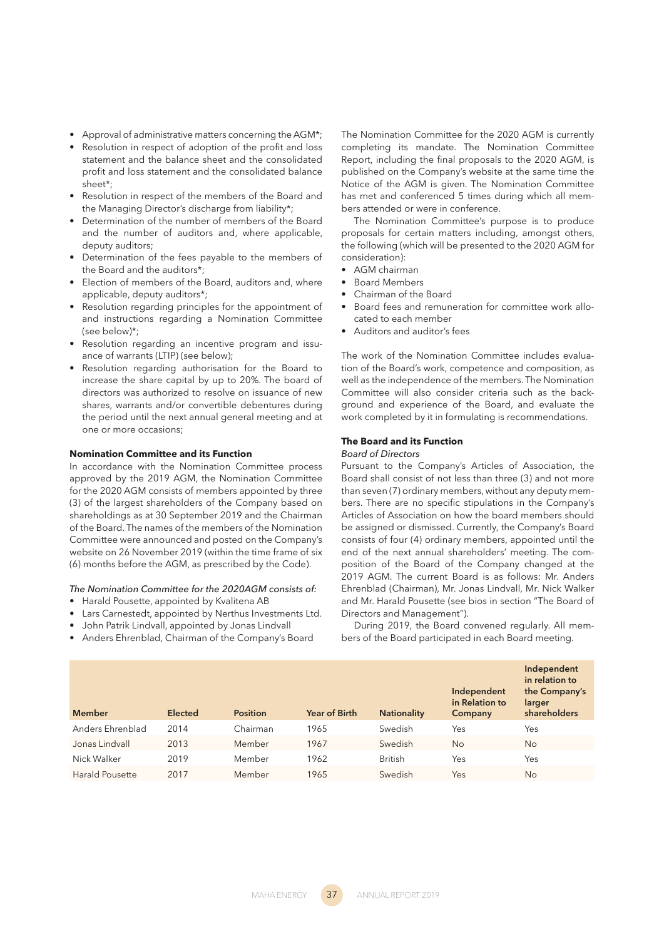- Approval of administrative matters concerning the AGM\*:
- Resolution in respect of adoption of the profit and loss statement and the balance sheet and the consolidated profit and loss statement and the consolidated balance sheet\*;
- Resolution in respect of the members of the Board and the Managing Director's discharge from liability\*;
- Determination of the number of members of the Board and the number of auditors and, where applicable, deputy auditors;
- Determination of the fees payable to the members of the Board and the auditors\*;
- Election of members of the Board, auditors and, where applicable, deputy auditors\*;
- Resolution regarding principles for the appointment of and instructions regarding a Nomination Committee (see below)\*;
- Resolution regarding an incentive program and issuance of warrants (LTIP) (see below);
- Resolution regarding authorisation for the Board to increase the share capital by up to 20%. The board of directors was authorized to resolve on issuance of new shares, warrants and/or convertible debentures during the period until the next annual general meeting and at one or more occasions;

# **Nomination Committee and its Function**

In accordance with the Nomination Committee process approved by the 2019 AGM, the Nomination Committee for the 2020 AGM consists of members appointed by three (3) of the largest shareholders of the Company based on shareholdings as at 30 September 2019 and the Chairman of the Board. The names of the members of the Nomination Committee were announced and posted on the Company's website on 26 November 2019 (within the time frame of six (6) months before the AGM, as prescribed by the Code).

*The Nomination Committee for the 2020AGM consists of:*

- Harald Pousette, appointed by Kvalitena AB
- Lars Carnestedt, appointed by Nerthus Investments Ltd.
- John Patrik Lindvall, appointed by Jonas Lindvall
- Anders Ehrenblad, Chairman of the Company's Board

The Nomination Committee for the 2020 AGM is currently completing its mandate. The Nomination Committee Report, including the final proposals to the 2020 AGM, is published on the Company's website at the same time the Notice of the AGM is given. The Nomination Committee has met and conferenced 5 times during which all members attended or were in conference.

The Nomination Committee's purpose is to produce proposals for certain matters including, amongst others, the following (which will be presented to the 2020 AGM for consideration):

- AGM chairman
- Board Members
- Chairman of the Board
- Board fees and remuneration for committee work allocated to each member
- Auditors and auditor's fees

The work of the Nomination Committee includes evaluation of the Board's work, competence and composition, as well as the independence of the members. The Nomination Committee will also consider criteria such as the background and experience of the Board, and evaluate the work completed by it in formulating is recommendations.

## **The Board and its Function**

#### *Board of Directors*

Pursuant to the Company's Articles of Association, the Board shall consist of not less than three (3) and not more than seven (7) ordinary members, without any deputy members. There are no specific stipulations in the Company's Articles of Association on how the board members should be assigned or dismissed. Currently, the Company's Board consists of four (4) ordinary members, appointed until the end of the next annual shareholders' meeting. The composition of the Board of the Company changed at the 2019 AGM. The current Board is as follows: Mr. Anders Ehrenblad (Chairman), Mr. Jonas Lindvall, Mr. Nick Walker and Mr. Harald Pousette (see bios in section "The Board of Directors and Management").

During 2019, the Board convened regularly. All members of the Board participated in each Board meeting.

| <b>Member</b>    | <b>Elected</b> | <b>Position</b> | Year of Birth | <b>Nationality</b> | Independent<br>in Relation to<br>Company | Independent<br>in relation to<br>the Company's<br>larger<br>shareholders |
|------------------|----------------|-----------------|---------------|--------------------|------------------------------------------|--------------------------------------------------------------------------|
| Anders Ehrenblad | 2014           | Chairman        | 1965          | Swedish            | Yes                                      | Yes                                                                      |
| Jonas Lindvall   | 2013           | Member          | 1967          | Swedish            | No                                       | No                                                                       |
| Nick Walker      | 2019           | Member          | 1962          | <b>British</b>     | Yes                                      | Yes                                                                      |
| Harald Pousette  | 2017           | Member          | 1965          | Swedish            | Yes                                      | No                                                                       |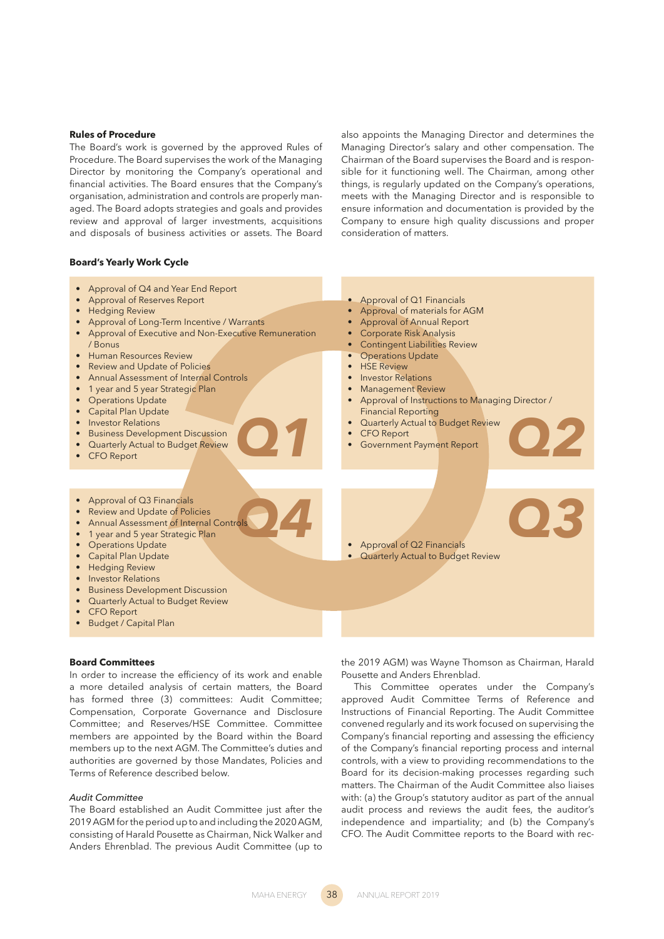## **Rules of Procedure**

The Board's work is governed by the approved Rules of Procedure. The Board supervises the work of the Managing Director by monitoring the Company's operational and financial activities. The Board ensures that the Company's organisation, administration and controls are properly managed. The Board adopts strategies and goals and provides review and approval of larger investments, acquisitions and disposals of business activities or assets. The Board also appoints the Managing Director and determines the Managing Director's salary and other compensation. The Chairman of the Board supervises the Board and is responsible for it functioning well. The Chairman, among other things, is regularly updated on the Company's operations, meets with the Managing Director and is responsible to ensure information and documentation is provided by the Company to ensure high quality discussions and proper consideration of matters.

## **Board's Yearly Work Cycle**

*Q1*  $\cdot$  *Quarterly Actual to Budget Review*<br>*CFO Report Government Payment Report Q4 Q3* • Approval of Q1 Financials • Approval of materials for AGM • Approval of Annual Report • Corporate Risk Analysis **Contingent Liabilities Review** Operations Update • HSE Review **Investor Relations** • Management Review Approval of Instructions to Managing Director / Financial Reporting **Quarterly Actual to Budget Review CFO Report** • Government Payment Report • Approval of Q2 Financials **Quarterly Actual to Budget Review** • Approval of Q3 Financials Review and Update of Policies • Annual Assessment of Internal Controls • 1 year and 5 year Strategic Plan Operations Update Capital Plan Update • Hedging Review Investor Relations • Business Development Discussion • Quarterly Actual to Budget Review • CFO Report **Budget / Capital Plan** • Approval of Q4 and Year End Report • Approval of Reserves Report **Hedging Review** Approval of Long-Term Incentive / Warrants • Approval of Executive and Non-Executive Remuneration / Bonus • Human Resources Review Review and Update of Policies • Annual Assessment of Internal Controls 1 year and 5 year Strategic Plan Operations Update Capital Plan Update • Investor Relations • Business Development Discussion • Quarterly Actual to Budget Review **CFO Report** 

# **Board Committees**

In order to increase the efficiency of its work and enable a more detailed analysis of certain matters, the Board has formed three (3) committees: Audit Committee; Compensation, Corporate Governance and Disclosure Committee; and Reserves/HSE Committee. Committee members are appointed by the Board within the Board members up to the next AGM. The Committee's duties and authorities are governed by those Mandates, Policies and Terms of Reference described below.

# *Audit Committee*

The Board established an Audit Committee just after the 2019 AGM for the period up to and including the 2020 AGM, consisting of Harald Pousette as Chairman, Nick Walker and Anders Ehrenblad. The previous Audit Committee (up to the 2019 AGM) was Wayne Thomson as Chairman, Harald Pousette and Anders Ehrenblad.

This Committee operates under the Company's approved Audit Committee Terms of Reference and Instructions of Financial Reporting. The Audit Committee convened regularly and its work focused on supervising the Company's financial reporting and assessing the efficiency of the Company's financial reporting process and internal controls, with a view to providing recommendations to the Board for its decision-making processes regarding such matters. The Chairman of the Audit Committee also liaises with: (a) the Group's statutory auditor as part of the annual audit process and reviews the audit fees, the auditor's independence and impartiality; and (b) the Company's CFO. The Audit Committee reports to the Board with rec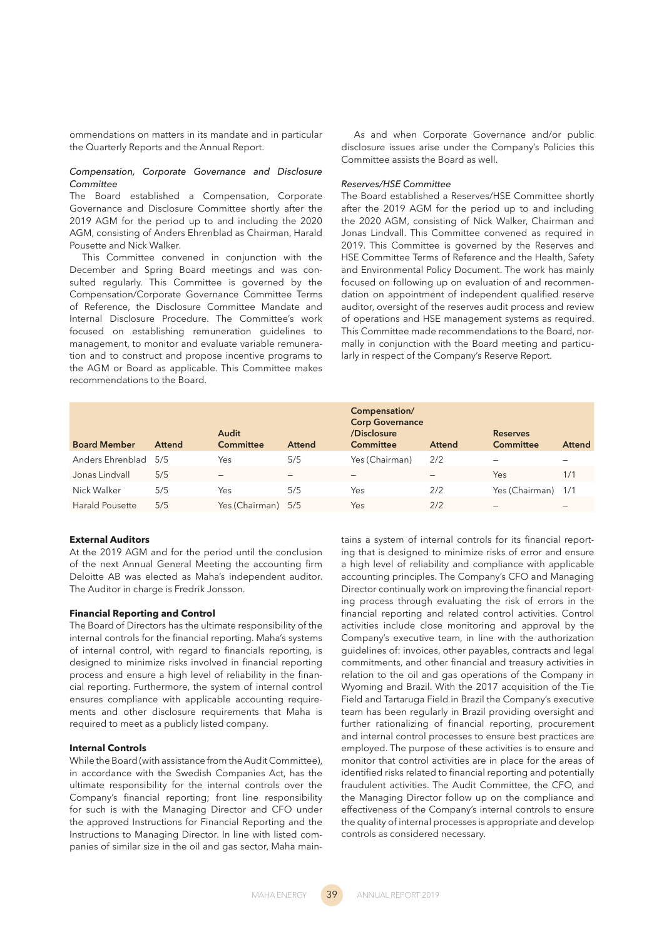ommendations on matters in its mandate and in particular the Quarterly Reports and the Annual Report.

# *Compensation, Corporate Governance and Disclosure Committee*

The Board established a Compensation, Corporate Governance and Disclosure Committee shortly after the 2019 AGM for the period up to and including the 2020 AGM, consisting of Anders Ehrenblad as Chairman, Harald Pousette and Nick Walker.

This Committee convened in conjunction with the December and Spring Board meetings and was consulted regularly. This Committee is governed by the Compensation/Corporate Governance Committee Terms of Reference, the Disclosure Committee Mandate and Internal Disclosure Procedure. The Committee's work focused on establishing remuneration guidelines to management, to monitor and evaluate variable remuneration and to construct and propose incentive programs to the AGM or Board as applicable. This Committee makes recommendations to the Board.

As and when Corporate Governance and/or public disclosure issues arise under the Company's Policies this Committee assists the Board as well.

#### *Reserves/HSE Committee*

The Board established a Reserves/HSE Committee shortly after the 2019 AGM for the period up to and including the 2020 AGM, consisting of Nick Walker, Chairman and Jonas Lindvall. This Committee convened as required in 2019. This Committee is governed by the Reserves and HSE Committee Terms of Reference and the Health, Safety and Environmental Policy Document. The work has mainly focused on following up on evaluation of and recommendation on appointment of independent qualified reserve auditor, oversight of the reserves audit process and review of operations and HSE management systems as required. This Committee made recommendations to the Board, normally in conjunction with the Board meeting and particularly in respect of the Company's Reserve Report.

| <b>Board Member</b>    | <b>Attend</b> | Audit<br>Committee | <b>Attend</b> | Compensation/<br><b>Corp Governance</b><br>/Disclosure<br>Committee | <b>Attend</b> | <b>Reserves</b><br><b>Committee</b> | <b>Attend</b> |
|------------------------|---------------|--------------------|---------------|---------------------------------------------------------------------|---------------|-------------------------------------|---------------|
| Anders Ehrenblad       | 5/5           | Yes                | 5/5           | Yes (Chairman)                                                      | 2/2           |                                     | -             |
| Jonas Lindvall         | 5/5           | -                  |               | -                                                                   |               | Yes                                 | 1/1           |
| Nick Walker            | 5/5           | Yes                | 5/5           | Yes                                                                 | 2/2           | Yes (Chairman) 1/1                  |               |
| <b>Harald Pousette</b> | 5/5           | Yes (Chairman) 5/5 |               | Yes                                                                 | 2/2           | -                                   |               |

## **External Auditors**

At the 2019 AGM and for the period until the conclusion of the next Annual General Meeting the accounting firm Deloitte AB was elected as Maha's independent auditor. The Auditor in charge is Fredrik Jonsson.

## **Financial Reporting and Control**

The Board of Directors has the ultimate responsibility of the internal controls for the financial reporting. Maha's systems of internal control, with regard to financials reporting, is designed to minimize risks involved in financial reporting process and ensure a high level of reliability in the financial reporting. Furthermore, the system of internal control ensures compliance with applicable accounting requirements and other disclosure requirements that Maha is required to meet as a publicly listed company.

# **Internal Controls**

While the Board (with assistance from the Audit Committee), in accordance with the Swedish Companies Act, has the ultimate responsibility for the internal controls over the Company's financial reporting; front line responsibility for such is with the Managing Director and CFO under the approved Instructions for Financial Reporting and the Instructions to Managing Director. In line with listed companies of similar size in the oil and gas sector, Maha maintains a system of internal controls for its financial reporting that is designed to minimize risks of error and ensure a high level of reliability and compliance with applicable accounting principles. The Company's CFO and Managing Director continually work on improving the financial reporting process through evaluating the risk of errors in the financial reporting and related control activities. Control activities include close monitoring and approval by the Company's executive team, in line with the authorization guidelines of: invoices, other payables, contracts and legal commitments, and other financial and treasury activities in relation to the oil and gas operations of the Company in Wyoming and Brazil. With the 2017 acquisition of the Tie Field and Tartaruga Field in Brazil the Company's executive team has been regularly in Brazil providing oversight and further rationalizing of financial reporting, procurement and internal control processes to ensure best practices are employed. The purpose of these activities is to ensure and monitor that control activities are in place for the areas of identified risks related to financial reporting and potentially fraudulent activities. The Audit Committee, the CFO, and the Managing Director follow up on the compliance and effectiveness of the Company's internal controls to ensure the quality of internal processes is appropriate and develop controls as considered necessary.